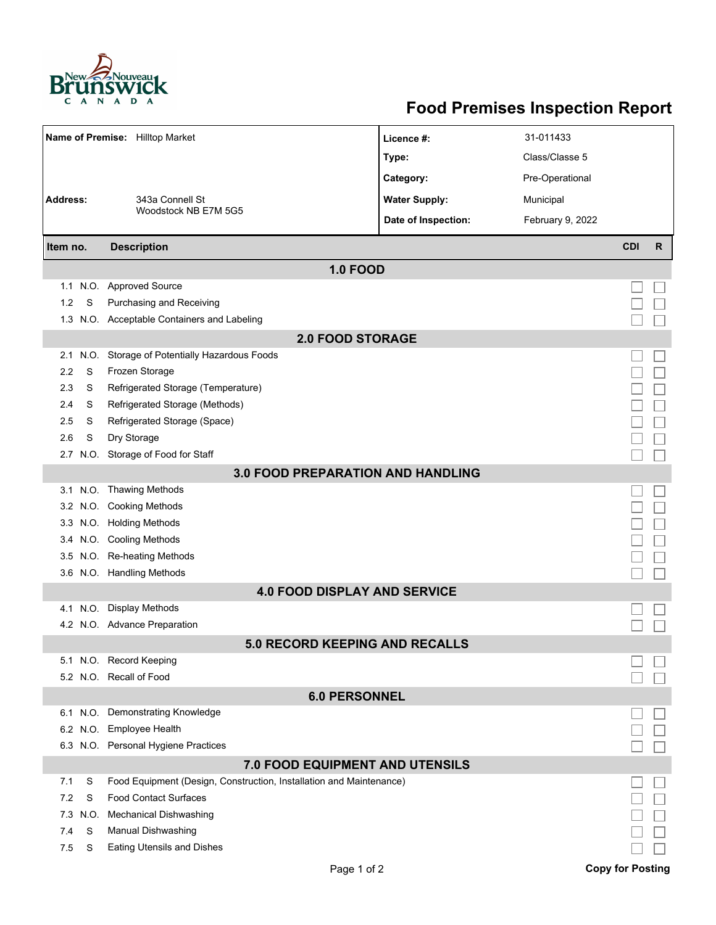

## **Food Premises Inspection Report**

| Name of Premise: Hilltop Market          |      |                                                                     | Licence #:           | 31-011433        |            |              |  |  |  |  |
|------------------------------------------|------|---------------------------------------------------------------------|----------------------|------------------|------------|--------------|--|--|--|--|
|                                          |      |                                                                     | Type:                | Class/Classe 5   |            |              |  |  |  |  |
|                                          |      |                                                                     | Category:            | Pre-Operational  |            |              |  |  |  |  |
| <b>Address:</b>                          |      | 343a Connell St                                                     | <b>Water Supply:</b> | Municipal        |            |              |  |  |  |  |
|                                          |      | Woodstock NB E7M 5G5                                                | Date of Inspection:  | February 9, 2022 |            |              |  |  |  |  |
| Item no.                                 |      | <b>Description</b>                                                  |                      |                  | <b>CDI</b> | $\mathsf{R}$ |  |  |  |  |
| <b>1.0 FOOD</b>                          |      |                                                                     |                      |                  |            |              |  |  |  |  |
|                                          |      | 1.1 N.O. Approved Source                                            |                      |                  |            |              |  |  |  |  |
| 1.2                                      | S    | Purchasing and Receiving                                            |                      |                  |            |              |  |  |  |  |
|                                          |      | 1.3 N.O. Acceptable Containers and Labeling                         |                      |                  |            |              |  |  |  |  |
|                                          |      | <b>2.0 FOOD STORAGE</b>                                             |                      |                  |            |              |  |  |  |  |
| 2.1                                      | N.O. | Storage of Potentially Hazardous Foods                              |                      |                  |            |              |  |  |  |  |
| 2.2                                      | S    | Frozen Storage                                                      |                      |                  |            |              |  |  |  |  |
| 2.3                                      | S    | Refrigerated Storage (Temperature)                                  |                      |                  |            |              |  |  |  |  |
| 2.4                                      | S    | Refrigerated Storage (Methods)                                      |                      |                  |            |              |  |  |  |  |
| 2.5                                      | S    | Refrigerated Storage (Space)                                        |                      |                  |            |              |  |  |  |  |
| 2.6                                      | S    | Dry Storage                                                         |                      |                  |            |              |  |  |  |  |
| 2.7                                      |      | N.O. Storage of Food for Staff                                      |                      |                  |            |              |  |  |  |  |
| <b>3.0 FOOD PREPARATION AND HANDLING</b> |      |                                                                     |                      |                  |            |              |  |  |  |  |
|                                          |      | 3.1 N.O. Thawing Methods                                            |                      |                  |            |              |  |  |  |  |
|                                          |      | 3.2 N.O. Cooking Methods                                            |                      |                  |            |              |  |  |  |  |
|                                          |      | 3.3 N.O. Holding Methods                                            |                      |                  |            |              |  |  |  |  |
|                                          |      | 3.4 N.O. Cooling Methods                                            |                      |                  |            |              |  |  |  |  |
| 3.5                                      |      | N.O. Re-heating Methods                                             |                      |                  |            |              |  |  |  |  |
|                                          |      | 3.6 N.O. Handling Methods                                           |                      |                  |            |              |  |  |  |  |
|                                          |      | <b>4.0 FOOD DISPLAY AND SERVICE</b>                                 |                      |                  |            |              |  |  |  |  |
|                                          |      | 4.1 N.O. Display Methods                                            |                      |                  |            |              |  |  |  |  |
|                                          |      | 4.2 N.O. Advance Preparation                                        |                      |                  |            |              |  |  |  |  |
|                                          |      | <b>5.0 RECORD KEEPING AND RECALLS</b>                               |                      |                  |            |              |  |  |  |  |
|                                          |      | 5.1 N.O. Record Keeping                                             |                      |                  |            |              |  |  |  |  |
|                                          |      | 5.2 N.O. Recall of Food                                             |                      |                  |            |              |  |  |  |  |
| <b>6.0 PERSONNEL</b>                     |      |                                                                     |                      |                  |            |              |  |  |  |  |
|                                          |      | 6.1 N.O. Demonstrating Knowledge                                    |                      |                  |            |              |  |  |  |  |
|                                          |      | 6.2 N.O. Employee Health                                            |                      |                  |            |              |  |  |  |  |
|                                          |      | 6.3 N.O. Personal Hygiene Practices                                 |                      |                  |            |              |  |  |  |  |
|                                          |      | 7.0 FOOD EQUIPMENT AND UTENSILS                                     |                      |                  |            |              |  |  |  |  |
| 7.1                                      | S    | Food Equipment (Design, Construction, Installation and Maintenance) |                      |                  |            |              |  |  |  |  |
| 7.2                                      | S    | <b>Food Contact Surfaces</b>                                        |                      |                  |            |              |  |  |  |  |
| 7.3                                      | N.O. | <b>Mechanical Dishwashing</b>                                       |                      |                  |            |              |  |  |  |  |
| 7.4                                      | S    | Manual Dishwashing                                                  |                      |                  |            |              |  |  |  |  |
| 7.5                                      | S    | <b>Eating Utensils and Dishes</b>                                   |                      |                  |            |              |  |  |  |  |